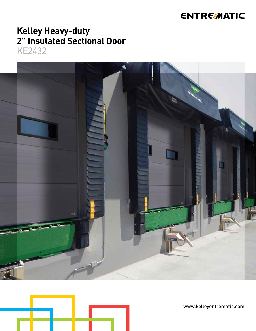## **ENTRE/MATIC**

# **Kelley Heavy-duty<br>2" Insulated Sectional Door**

**KE2432** 





www.kelleyentrematic.com